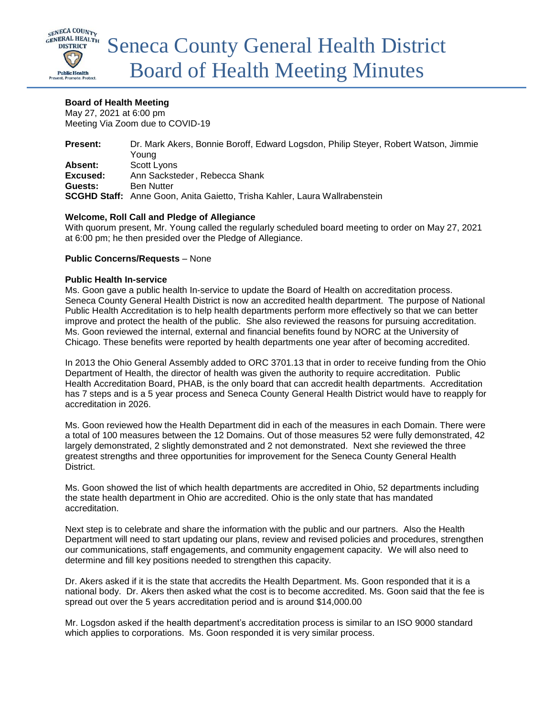

# **Board of Health Meeting**

May 27, 2021 at 6:00 pm Meeting Via Zoom due to COVID-19

| <b>Present:</b> | Dr. Mark Akers, Bonnie Boroff, Edward Logsdon, Philip Steyer, Robert Watson, Jimmie |
|-----------------|-------------------------------------------------------------------------------------|
|                 | Youna                                                                               |
| Absent:         | Scott Lyons                                                                         |
| Excused:        | Ann Sacksteder, Rebecca Shank                                                       |
| Guests:         | Ben Nutter                                                                          |
|                 | <b>SCGHD Staff:</b> Anne Goon, Anita Gaietto, Trisha Kahler, Laura Wallrabenstein   |

## **Welcome, Roll Call and Pledge of Allegiance**

With quorum present, Mr. Young called the regularly scheduled board meeting to order on May 27, 2021 at 6:00 pm; he then presided over the Pledge of Allegiance.

## **Public Concerns/Requests** – None

## **Public Health In-service**

Ms. Goon gave a public health In-service to update the Board of Health on accreditation process. Seneca County General Health District is now an accredited health department. The purpose of National Public Health Accreditation is to help health departments perform more effectively so that we can better improve and protect the health of the public. She also reviewed the reasons for pursuing accreditation. Ms. Goon reviewed the internal, external and financial benefits found by NORC at the University of Chicago. These benefits were reported by health departments one year after of becoming accredited.

In 2013 the Ohio General Assembly added to ORC 3701.13 that in order to receive funding from the Ohio Department of Health, the director of health was given the authority to require accreditation. Public Health Accreditation Board, PHAB, is the only board that can accredit health departments. Accreditation has 7 steps and is a 5 year process and Seneca County General Health District would have to reapply for accreditation in 2026.

Ms. Goon reviewed how the Health Department did in each of the measures in each Domain. There were a total of 100 measures between the 12 Domains. Out of those measures 52 were fully demonstrated, 42 largely demonstrated, 2 slightly demonstrated and 2 not demonstrated. Next she reviewed the three greatest strengths and three opportunities for improvement for the Seneca County General Health District.

Ms. Goon showed the list of which health departments are accredited in Ohio, 52 departments including the state health department in Ohio are accredited. Ohio is the only state that has mandated accreditation.

Next step is to celebrate and share the information with the public and our partners. Also the Health Department will need to start updating our plans, review and revised policies and procedures, strengthen our communications, staff engagements, and community engagement capacity. We will also need to determine and fill key positions needed to strengthen this capacity.

Dr. Akers asked if it is the state that accredits the Health Department. Ms. Goon responded that it is a national body. Dr. Akers then asked what the cost is to become accredited. Ms. Goon said that the fee is spread out over the 5 years accreditation period and is around \$14,000.00

Mr. Logsdon asked if the health department's accreditation process is similar to an ISO 9000 standard which applies to corporations. Ms. Goon responded it is very similar process.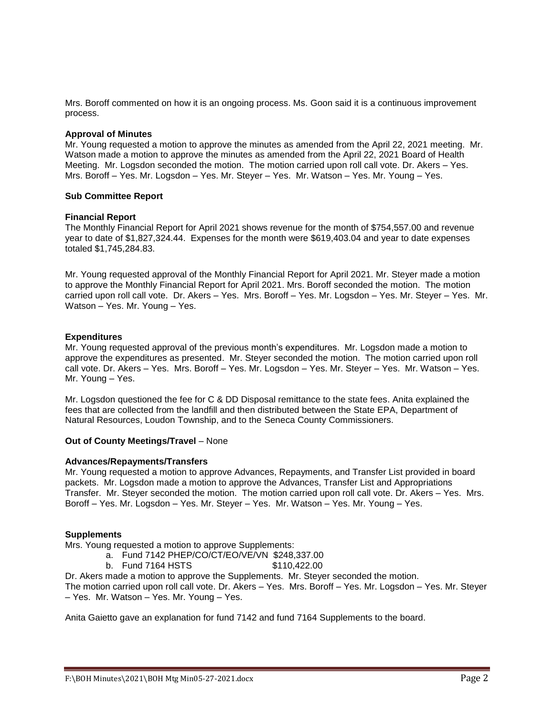Mrs. Boroff commented on how it is an ongoing process. Ms. Goon said it is a continuous improvement process.

#### **Approval of Minutes**

Mr. Young requested a motion to approve the minutes as amended from the April 22, 2021 meeting. Mr. Watson made a motion to approve the minutes as amended from the April 22, 2021 Board of Health Meeting. Mr. Logsdon seconded the motion. The motion carried upon roll call vote. Dr. Akers – Yes. Mrs. Boroff – Yes. Mr. Logsdon – Yes. Mr. Steyer – Yes. Mr. Watson – Yes. Mr. Young – Yes.

#### **Sub Committee Report**

#### **Financial Report**

The Monthly Financial Report for April 2021 shows revenue for the month of \$754,557.00 and revenue year to date of \$1,827,324.44. Expenses for the month were \$619,403.04 and year to date expenses totaled \$1,745,284.83.

Mr. Young requested approval of the Monthly Financial Report for April 2021. Mr. Steyer made a motion to approve the Monthly Financial Report for April 2021. Mrs. Boroff seconded the motion. The motion carried upon roll call vote. Dr. Akers – Yes. Mrs. Boroff – Yes. Mr. Logsdon – Yes. Mr. Steyer – Yes. Mr. Watson – Yes. Mr. Young – Yes.

#### **Expenditures**

Mr. Young requested approval of the previous month's expenditures. Mr. Logsdon made a motion to approve the expenditures as presented. Mr. Steyer seconded the motion. The motion carried upon roll call vote. Dr. Akers – Yes. Mrs. Boroff – Yes. Mr. Logsdon – Yes. Mr. Steyer – Yes. Mr. Watson – Yes. Mr. Young – Yes.

Mr. Logsdon questioned the fee for C & DD Disposal remittance to the state fees. Anita explained the fees that are collected from the landfill and then distributed between the State EPA, Department of Natural Resources, Loudon Township, and to the Seneca County Commissioners.

#### **Out of County Meetings/Travel** – None

#### **Advances/Repayments/Transfers**

Mr. Young requested a motion to approve Advances, Repayments, and Transfer List provided in board packets. Mr. Logsdon made a motion to approve the Advances, Transfer List and Appropriations Transfer. Mr. Steyer seconded the motion. The motion carried upon roll call vote. Dr. Akers – Yes. Mrs. Boroff – Yes. Mr. Logsdon – Yes. Mr. Steyer – Yes. Mr. Watson – Yes. Mr. Young – Yes.

## **Supplements**

Mrs. Young requested a motion to approve Supplements:

- a. Fund 7142 PHEP/CO/CT/EO/VE/VN \$248,337.00
- b. Fund 7164 HSTS \$110,422.00

Dr. Akers made a motion to approve the Supplements. Mr. Steyer seconded the motion.

The motion carried upon roll call vote. Dr. Akers – Yes. Mrs. Boroff – Yes. Mr. Logsdon – Yes. Mr. Steyer – Yes. Mr. Watson – Yes. Mr. Young – Yes.

Anita Gaietto gave an explanation for fund 7142 and fund 7164 Supplements to the board.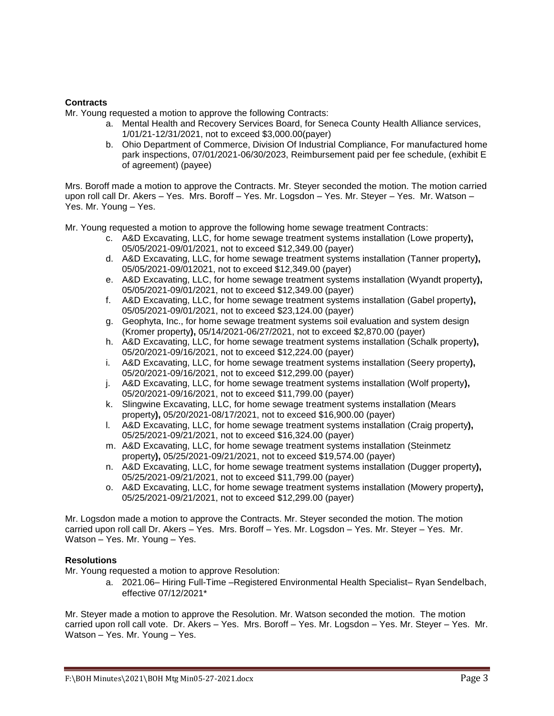# **Contracts**

Mr. Young requested a motion to approve the following Contracts:

- a. Mental Health and Recovery Services Board, for Seneca County Health Alliance services, 1/01/21-12/31/2021, not to exceed \$3,000.00(payer)
- b. Ohio Department of Commerce, Division Of Industrial Compliance, For manufactured home park inspections, 07/01/2021-06/30/2023, Reimbursement paid per fee schedule, (exhibit E of agreement) (payee)

Mrs. Boroff made a motion to approve the Contracts. Mr. Steyer seconded the motion. The motion carried upon roll call Dr. Akers – Yes. Mrs. Boroff – Yes. Mr. Logsdon – Yes. Mr. Steyer – Yes. Mr. Watson – Yes. Mr. Young – Yes.

Mr. Young requested a motion to approve the following home sewage treatment Contracts:

- c. A&D Excavating, LLC, for home sewage treatment systems installation (Lowe property**),**  05/05/2021-09/01/2021, not to exceed \$12,349.00 (payer)
- d. A&D Excavating, LLC, for home sewage treatment systems installation (Tanner property**),**  05/05/2021-09/012021, not to exceed \$12,349.00 (payer)
- e. A&D Excavating, LLC, for home sewage treatment systems installation (Wyandt property**),**  05/05/2021-09/01/2021, not to exceed \$12,349.00 (payer)
- f. A&D Excavating, LLC, for home sewage treatment systems installation (Gabel property**),**  05/05/2021-09/01/2021, not to exceed \$23,124.00 (payer)
- g. Geophyta, Inc., for home sewage treatment systems soil evaluation and system design (Kromer property**),** 05/14/2021-06/27/2021, not to exceed \$2,870.00 (payer)
- h. A&D Excavating, LLC, for home sewage treatment systems installation (Schalk property**),**  05/20/2021-09/16/2021, not to exceed \$12,224.00 (payer)
- i. A&D Excavating, LLC, for home sewage treatment systems installation (Seery property**),**  05/20/2021-09/16/2021, not to exceed \$12,299.00 (payer)
- j. A&D Excavating, LLC, for home sewage treatment systems installation (Wolf property**),**  05/20/2021-09/16/2021, not to exceed \$11,799.00 (payer)
- k. Slingwine Excavating, LLC, for home sewage treatment systems installation (Mears property**),** 05/20/2021-08/17/2021, not to exceed \$16,900.00 (payer)
- l. A&D Excavating, LLC, for home sewage treatment systems installation (Craig property**),**  05/25/2021-09/21/2021, not to exceed \$16,324.00 (payer)
- m. A&D Excavating, LLC, for home sewage treatment systems installation (Steinmetz property**),** 05/25/2021-09/21/2021, not to exceed \$19,574.00 (payer)
- n. A&D Excavating, LLC, for home sewage treatment systems installation (Dugger property**),**  05/25/2021-09/21/2021, not to exceed \$11,799.00 (payer)
- o. A&D Excavating, LLC, for home sewage treatment systems installation (Mowery property**),**  05/25/2021-09/21/2021, not to exceed \$12,299.00 (payer)

Mr. Logsdon made a motion to approve the Contracts. Mr. Steyer seconded the motion. The motion carried upon roll call Dr. Akers – Yes. Mrs. Boroff – Yes. Mr. Logsdon – Yes. Mr. Steyer – Yes. Mr. Watson – Yes. Mr. Young – Yes.

# **Resolutions**

Mr. Young requested a motion to approve Resolution:

a. 2021.06– Hiring Full-Time –Registered Environmental Health Specialist– Ryan Sendelbach, effective 07/12/2021\*

Mr. Steyer made a motion to approve the Resolution. Mr. Watson seconded the motion. The motion carried upon roll call vote. Dr. Akers – Yes. Mrs. Boroff – Yes. Mr. Logsdon – Yes. Mr. Steyer – Yes. Mr. Watson – Yes. Mr. Young – Yes.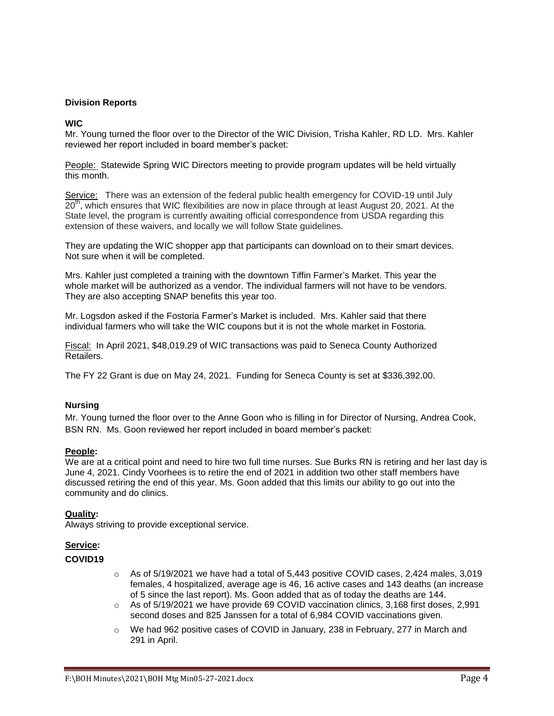# **Division Reports**

# **WIC**

Mr. Young turned the floor over to the Director of the WIC Division, Trisha Kahler, RD LD. Mrs. Kahler reviewed her report included in board member's packet:

People: Statewide Spring WIC Directors meeting to provide program updates will be held virtually this month.

Service: There was an extension of the federal public health emergency for COVID-19 until July 20<sup>th</sup>, which ensures that WIC flexibilities are now in place through at least August 20, 2021. At the State level, the program is currently awaiting official correspondence from USDA regarding this extension of these waivers, and locally we will follow State guidelines.

They are updating the WIC shopper app that participants can download on to their smart devices. Not sure when it will be completed.

Mrs. Kahler just completed a training with the downtown Tiffin Farmer's Market. This year the whole market will be authorized as a vendor. The individual farmers will not have to be vendors. They are also accepting SNAP benefits this year too.

Mr. Logsdon asked if the Fostoria Farmer's Market is included. Mrs. Kahler said that there individual farmers who will take the WIC coupons but it is not the whole market in Fostoria.

Fiscal: In April 2021, \$48,019.29 of WIC transactions was paid to Seneca County Authorized Retailers.

The FY 22 Grant is due on May 24, 2021. Funding for Seneca County is set at \$336,392.00.

## **Nursing**

Mr. Young turned the floor over to the Anne Goon who is filling in for Director of Nursing, Andrea Cook, BSN RN. Ms. Goon reviewed her report included in board member's packet:

## **People:**

We are at a critical point and need to hire two full time nurses. Sue Burks RN is retiring and her last day is June 4, 2021. Cindy Voorhees is to retire the end of 2021 in addition two other staff members have discussed retiring the end of this year. Ms. Goon added that this limits our ability to go out into the community and do clinics.

## **Quality:**

Always striving to provide exceptional service.

# **Service:**

#### **COVID19**

- $\circ$  As of 5/19/2021 we have had a total of 5,443 positive COVID cases, 2,424 males, 3,019 females, 4 hospitalized, average age is 46, 16 active cases and 143 deaths (an increase of 5 since the last report). Ms. Goon added that as of today the deaths are 144.
- o As of 5/19/2021 we have provide 69 COVID vaccination clinics, 3,168 first doses, 2,991 second doses and 825 Janssen for a total of 6,984 COVID vaccinations given.
- $\circ$  We had 962 positive cases of COVID in January, 238 in February, 277 in March and 291 in April.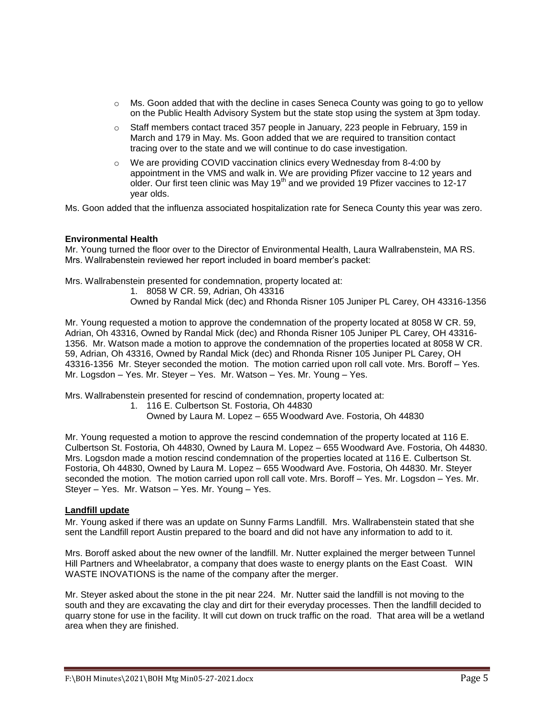- $\circ$  Ms. Goon added that with the decline in cases Seneca County was going to go to yellow on the Public Health Advisory System but the state stop using the system at 3pm today.
- $\circ$  Staff members contact traced 357 people in January, 223 people in February, 159 in March and 179 in May. Ms. Goon added that we are required to transition contact tracing over to the state and we will continue to do case investigation.
- o We are providing COVID vaccination clinics every Wednesday from 8-4:00 by appointment in the VMS and walk in. We are providing Pfizer vaccine to 12 years and older. Our first teen clinic was May 19<sup>th</sup> and we provided 19 Pfizer vaccines to 12-17 year olds.

Ms. Goon added that the influenza associated hospitalization rate for Seneca County this year was zero.

# **Environmental Health**

Mr. Young turned the floor over to the Director of Environmental Health, Laura Wallrabenstein, MA RS. Mrs. Wallrabenstein reviewed her report included in board member's packet:

Mrs. Wallrabenstein presented for condemnation, property located at:

1. 8058 W CR. 59, Adrian, Oh 43316

Owned by Randal Mick (dec) and Rhonda Risner 105 Juniper PL Carey, OH 43316-1356

Mr. Young requested a motion to approve the condemnation of the property located at 8058 W CR. 59, Adrian, Oh 43316, Owned by Randal Mick (dec) and Rhonda Risner 105 Juniper PL Carey, OH 43316- 1356. Mr. Watson made a motion to approve the condemnation of the properties located at 8058 W CR. 59, Adrian, Oh 43316, Owned by Randal Mick (dec) and Rhonda Risner 105 Juniper PL Carey, OH 43316-1356 Mr. Steyer seconded the motion. The motion carried upon roll call vote. Mrs. Boroff – Yes. Mr. Logsdon – Yes. Mr. Steyer – Yes. Mr. Watson – Yes. Mr. Young – Yes.

Mrs. Wallrabenstein presented for rescind of condemnation, property located at:

- 1. 116 E. Culbertson St. Fostoria, Oh 44830
	- Owned by Laura M. Lopez 655 Woodward Ave. Fostoria, Oh 44830

Mr. Young requested a motion to approve the rescind condemnation of the property located at 116 E. Culbertson St. Fostoria, Oh 44830, Owned by Laura M. Lopez – 655 Woodward Ave. Fostoria, Oh 44830. Mrs. Logsdon made a motion rescind condemnation of the properties located at 116 E. Culbertson St. Fostoria, Oh 44830, Owned by Laura M. Lopez – 655 Woodward Ave. Fostoria, Oh 44830. Mr. Steyer seconded the motion. The motion carried upon roll call vote. Mrs. Boroff – Yes. Mr. Logsdon – Yes. Mr. Steyer – Yes. Mr. Watson – Yes. Mr. Young – Yes.

## **Landfill update**

Mr. Young asked if there was an update on Sunny Farms Landfill. Mrs. Wallrabenstein stated that she sent the Landfill report Austin prepared to the board and did not have any information to add to it.

Mrs. Boroff asked about the new owner of the landfill. Mr. Nutter explained the merger between Tunnel Hill Partners and Wheelabrator, a company that does waste to energy plants on the East Coast. WIN WASTE INOVATIONS is the name of the company after the merger.

Mr. Steyer asked about the stone in the pit near 224. Mr. Nutter said the landfill is not moving to the south and they are excavating the clay and dirt for their everyday processes. Then the landfill decided to quarry stone for use in the facility. It will cut down on truck traffic on the road. That area will be a wetland area when they are finished.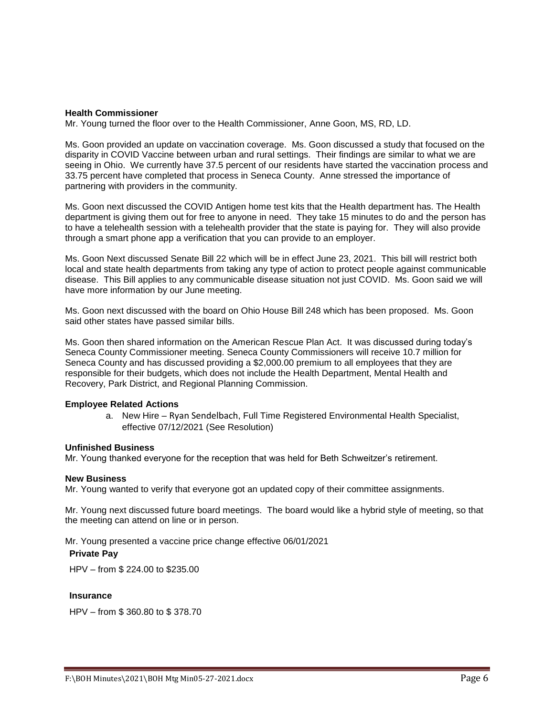#### **Health Commissioner**

Mr. Young turned the floor over to the Health Commissioner, Anne Goon, MS, RD, LD.

Ms. Goon provided an update on vaccination coverage. Ms. Goon discussed a study that focused on the disparity in COVID Vaccine between urban and rural settings. Their findings are similar to what we are seeing in Ohio. We currently have 37.5 percent of our residents have started the vaccination process and 33.75 percent have completed that process in Seneca County. Anne stressed the importance of partnering with providers in the community.

Ms. Goon next discussed the COVID Antigen home test kits that the Health department has. The Health department is giving them out for free to anyone in need. They take 15 minutes to do and the person has to have a telehealth session with a telehealth provider that the state is paying for. They will also provide through a smart phone app a verification that you can provide to an employer.

Ms. Goon Next discussed Senate Bill 22 which will be in effect June 23, 2021. This bill will restrict both local and state health departments from taking any type of action to protect people against communicable disease. This Bill applies to any communicable disease situation not just COVID. Ms. Goon said we will have more information by our June meeting.

Ms. Goon next discussed with the board on Ohio House Bill 248 which has been proposed. Ms. Goon said other states have passed similar bills.

Ms. Goon then shared information on the American Rescue Plan Act. It was discussed during today's Seneca County Commissioner meeting. Seneca County Commissioners will receive 10.7 million for Seneca County and has discussed providing a \$2,000.00 premium to all employees that they are responsible for their budgets, which does not include the Health Department, Mental Health and Recovery, Park District, and Regional Planning Commission.

#### **Employee Related Actions**

a. New Hire – Ryan Sendelbach, Full Time Registered Environmental Health Specialist, effective 07/12/2021 (See Resolution)

#### **Unfinished Business**

Mr. Young thanked everyone for the reception that was held for Beth Schweitzer's retirement.

#### **New Business**

Mr. Young wanted to verify that everyone got an updated copy of their committee assignments.

Mr. Young next discussed future board meetings. The board would like a hybrid style of meeting, so that the meeting can attend on line or in person.

Mr. Young presented a vaccine price change effective 06/01/2021

#### **Private Pay**

HPV – from \$ 224.00 to \$235.00

## **Insurance**

HPV – from \$ 360.80 to \$ 378.70